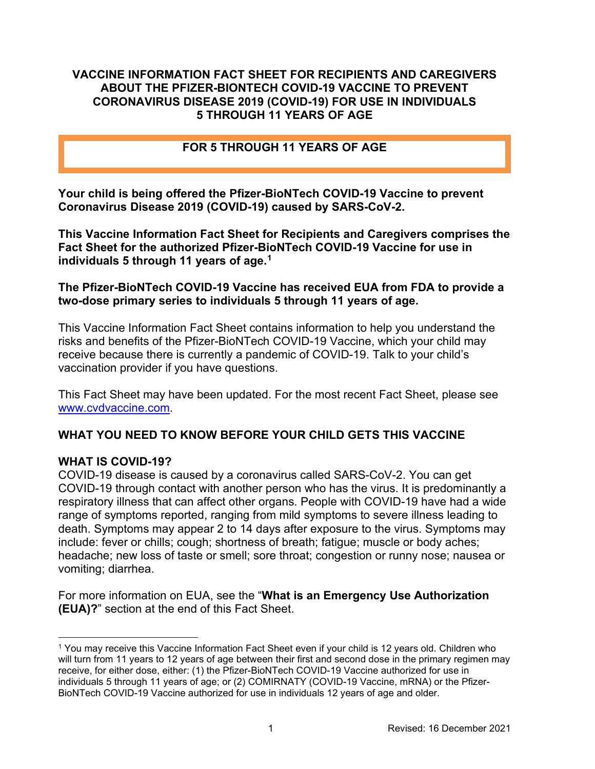#### **VACCINE INFORMATION FACT SHEET FOR RECIPIENTS AND CAREGIVERS ABOUT THE PFIZER-BIONTECH COVID-19 VACCINE TO PREVENT CORONAVIRUS DISEASE 2019 (COVID-19) FOR USE IN INDIVIDUALS 5 THROUGH 11 YEARS OF AGE**

### **FOR 5 THROUGH 11 YEARS OF AGE**

**Your child is being offered the Pfizer-BioNTech COVID-19 Vaccine to prevent Coronavirus Disease 2019 (COVID-19) caused by SARS-CoV-2.**

**This Vaccine Information Fact Sheet for Recipients and Caregivers comprises the Fact Sheet for the authorized Pfizer-BioNTech COVID-19 Vaccine for use in individuals 5 through 11 years of age. [1](#page-0-0)**

#### **The Pfizer-BioNTech COVID-19 Vaccine has received EUA from FDA to provide a two-dose primary series to individuals 5 through 11 years of age.**

This Vaccine Information Fact Sheet contains information to help you understand the risks and benefits of the Pfizer-BioNTech COVID-19 Vaccine, which your child may receive because there is currently a pandemic of COVID-19. Talk to your child's vaccination provider if you have questions.

This Fact Sheet may have been updated. For the most recent Fact Sheet, please see [www.cvdvaccine.com.](http://www.cvdvaccine.com/)

# **WHAT YOU NEED TO KNOW BEFORE YOUR CHILD GETS THIS VACCINE**

#### **WHAT IS COVID-19?**

COVID-19 disease is caused by a coronavirus called SARS-CoV-2. You can get COVID-19 through contact with another person who has the virus. It is predominantly a respiratory illness that can affect other organs. People with COVID-19 have had a wide range of symptoms reported, ranging from mild symptoms to severe illness leading to death. Symptoms may appear 2 to 14 days after exposure to the virus. Symptoms may include: fever or chills; cough; shortness of breath; fatigue; muscle or body aches; headache; new loss of taste or smell; sore throat; congestion or runny nose; nausea or vomiting; diarrhea.

For more information on EUA, see the "**What is an Emergency Use Authorization (EUA)?**" section at the end of this Fact Sheet.

<span id="page-0-0"></span><sup>1</sup> You may receive this Vaccine Information Fact Sheet even if your child is 12 years old. Children who will turn from 11 years to 12 years of age between their first and second dose in the primary regimen may receive, for either dose, either: (1) the Pfizer-BioNTech COVID-19 Vaccine authorized for use in individuals 5 through 11 years of age; or (2) COMIRNATY (COVID-19 Vaccine, mRNA) or the Pfizer-BioNTech COVID-19 Vaccine authorized for use in individuals 12 years of age and older.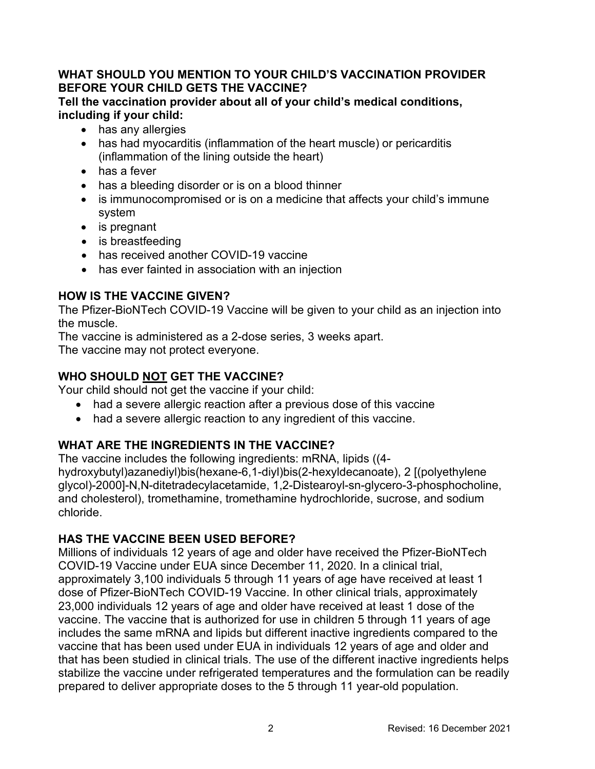### **WHAT SHOULD YOU MENTION TO YOUR CHILD'S VACCINATION PROVIDER BEFORE YOUR CHILD GETS THE VACCINE?**

**Tell the vaccination provider about all of your child's medical conditions, including if your child:**

- has any allergies
- has had myocarditis (inflammation of the heart muscle) or pericarditis (inflammation of the lining outside the heart)
- has a fever
- has a bleeding disorder or is on a blood thinner
- is immunocompromised or is on a medicine that affects your child's immune system
- is pregnant
- is breastfeeding
- has received another COVID-19 vaccine
- has ever fainted in association with an injection

# **HOW IS THE VACCINE GIVEN?**

The Pfizer-BioNTech COVID-19 Vaccine will be given to your child as an injection into the muscle.

The vaccine is administered as a 2-dose series, 3 weeks apart. The vaccine may not protect everyone.

# **WHO SHOULD NOT GET THE VACCINE?**

Your child should not get the vaccine if your child:

- had a severe allergic reaction after a previous dose of this vaccine
- had a severe allergic reaction to any ingredient of this vaccine.

# **WHAT ARE THE INGREDIENTS IN THE VACCINE?**

The vaccine includes the following ingredients: mRNA, lipids ((4 hydroxybutyl)azanediyl)bis(hexane-6,1-diyl)bis(2-hexyldecanoate), 2 [(polyethylene glycol)-2000]-N,N-ditetradecylacetamide, 1,2-Distearoyl-sn-glycero-3-phosphocholine, and cholesterol), tromethamine, tromethamine hydrochloride, sucrose, and sodium chloride.

# **HAS THE VACCINE BEEN USED BEFORE?**

Millions of individuals 12 years of age and older have received the Pfizer-BioNTech COVID-19 Vaccine under EUA since December 11, 2020. In a clinical trial, approximately 3,100 individuals 5 through 11 years of age have received at least 1 dose of Pfizer-BioNTech COVID-19 Vaccine. In other clinical trials, approximately 23,000 individuals 12 years of age and older have received at least 1 dose of the vaccine. The vaccine that is authorized for use in children 5 through 11 years of age includes the same mRNA and lipids but different inactive ingredients compared to the vaccine that has been used under EUA in individuals 12 years of age and older and that has been studied in clinical trials. The use of the different inactive ingredients helps stabilize the vaccine under refrigerated temperatures and the formulation can be readily prepared to deliver appropriate doses to the 5 through 11 year-old population.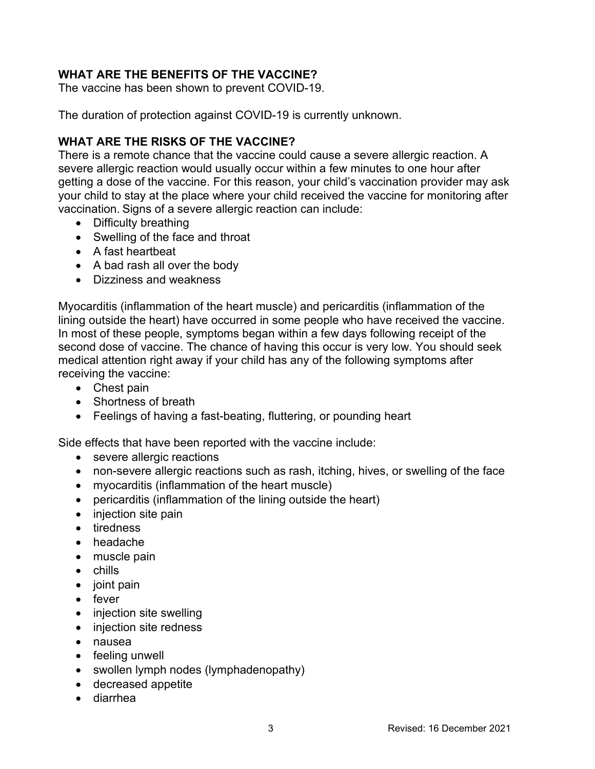# **WHAT ARE THE BENEFITS OF THE VACCINE?**

The vaccine has been shown to prevent COVID-19.

The duration of protection against COVID-19 is currently unknown.

# **WHAT ARE THE RISKS OF THE VACCINE?**

There is a remote chance that the vaccine could cause a severe allergic reaction. A severe allergic reaction would usually occur within a few minutes to one hour after getting a dose of the vaccine. For this reason, your child's vaccination provider may ask your child to stay at the place where your child received the vaccine for monitoring after vaccination. Signs of a severe allergic reaction can include:

- Difficulty breathing
- Swelling of the face and throat
- A fast heartbeat
- A bad rash all over the body
- Dizziness and weakness

Myocarditis (inflammation of the heart muscle) and pericarditis (inflammation of the lining outside the heart) have occurred in some people who have received the vaccine. In most of these people, symptoms began within a few days following receipt of the second dose of vaccine. The chance of having this occur is very low. You should seek medical attention right away if your child has any of the following symptoms after receiving the vaccine:

- Chest pain
- Shortness of breath
- Feelings of having a fast-beating, fluttering, or pounding heart

Side effects that have been reported with the vaccine include:

- severe allergic reactions
- non-severe allergic reactions such as rash, itching, hives, or swelling of the face
- myocarditis (inflammation of the heart muscle)
- pericarditis (inflammation of the lining outside the heart)
- injection site pain
- tiredness
- headache
- muscle pain
- chills
- joint pain
- fever
- injection site swelling
- injection site redness
- nausea
- feeling unwell
- swollen lymph nodes (lymphadenopathy)
- decreased appetite
- diarrhea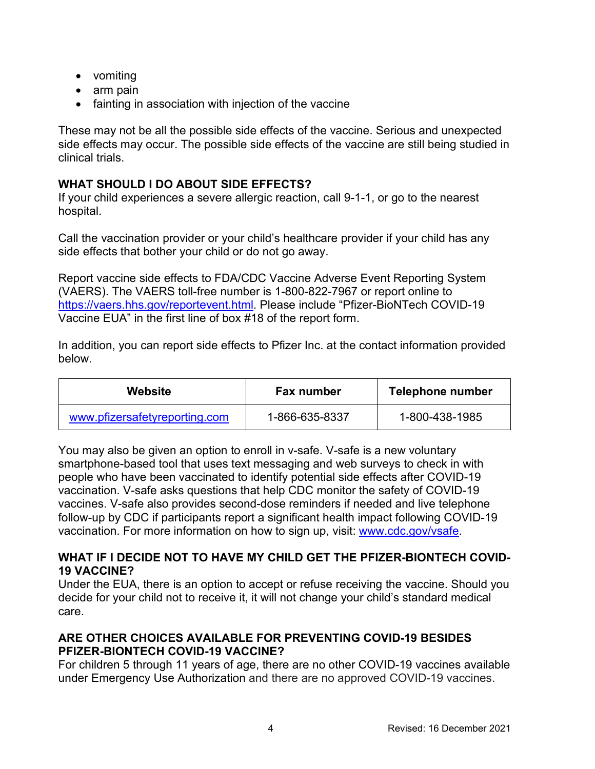- vomiting
- arm pain
- fainting in association with injection of the vaccine

These may not be all the possible side effects of the vaccine. Serious and unexpected side effects may occur. The possible side effects of the vaccine are still being studied in clinical trials.

# **WHAT SHOULD I DO ABOUT SIDE EFFECTS?**

If your child experiences a severe allergic reaction, call 9-1-1, or go to the nearest hospital.

Call the vaccination provider or your child's healthcare provider if your child has any side effects that bother your child or do not go away.

Report vaccine side effects to FDA/CDC Vaccine Adverse Event Reporting System (VAERS). The VAERS toll-free number is 1-800-822-7967 or report online to [https://vaers.hhs.gov/reportevent.html.](https://vaers.hhs.gov/reportevent.html) Please include "Pfizer-BioNTech COVID-19 Vaccine EUA" in the first line of box #18 of the report form.

In addition, you can report side effects to Pfizer Inc. at the contact information provided below.

| Website                       | <b>Fax number</b> | Telephone number |
|-------------------------------|-------------------|------------------|
| www.pfizersafetyreporting.com | 1-866-635-8337    | 1-800-438-1985   |

You may also be given an option to enroll in v-safe. V-safe is a new voluntary smartphone-based tool that uses text messaging and web surveys to check in with people who have been vaccinated to identify potential side effects after COVID-19 vaccination. V-safe asks questions that help CDC monitor the safety of COVID-19 vaccines. V-safe also provides second-dose reminders if needed and live telephone follow-up by CDC if participants report a significant health impact following COVID-19 vaccination. For more information on how to sign up, visit: [www.cdc.gov/vsafe.](https://urldefense.proofpoint.com/v2/url?u=http-3A__www.cdc.gov_vsafe&d=DwMF-g&c=UE1eNsedaKncO0Yl_u8bfw&r=iggimxFo1bnCoTNHtFHht7zBjWLmMD5xyYOHusHEMRA&m=NUusRcDWxrAYwskpVPikFjIp1YMB1upPlqmEqHLqywo&s=ZgZDg3kpZyGQV82QCF-MKAMdQ9UDWQqf3K-6eMVizRE&e=)

### **WHAT IF I DECIDE NOT TO HAVE MY CHILD GET THE PFIZER-BIONTECH COVID-19 VACCINE?**

Under the EUA, there is an option to accept or refuse receiving the vaccine. Should you decide for your child not to receive it, it will not change your child's standard medical care.

# **ARE OTHER CHOICES AVAILABLE FOR PREVENTING COVID-19 BESIDES PFIZER-BIONTECH COVID-19 VACCINE?**

For children 5 through 11 years of age, there are no other COVID-19 vaccines available under Emergency Use Authorization and there are no approved COVID-19 vaccines.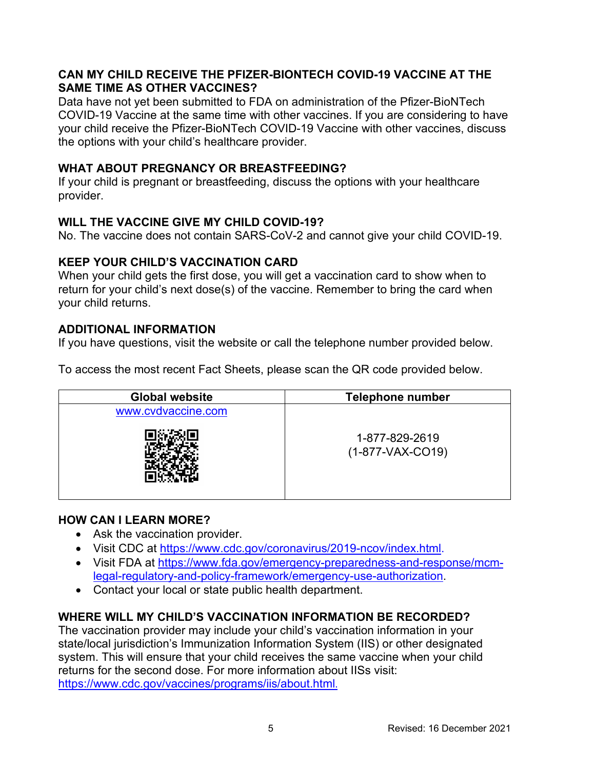### **CAN MY CHILD RECEIVE THE PFIZER-BIONTECH COVID-19 VACCINE AT THE SAME TIME AS OTHER VACCINES?**

Data have not yet been submitted to FDA on administration of the Pfizer-BioNTech COVID-19 Vaccine at the same time with other vaccines. If you are considering to have your child receive the Pfizer-BioNTech COVID-19 Vaccine with other vaccines, discuss the options with your child's healthcare provider.

### **WHAT ABOUT PREGNANCY OR BREASTFEEDING?**

If your child is pregnant or breastfeeding, discuss the options with your healthcare provider.

# **WILL THE VACCINE GIVE MY CHILD COVID-19?**

No. The vaccine does not contain SARS-CoV-2 and cannot give your child COVID-19.

#### **KEEP YOUR CHILD'S VACCINATION CARD**

When your child gets the first dose, you will get a vaccination card to show when to return for your child's next dose(s) of the vaccine. Remember to bring the card when your child returns.

### **ADDITIONAL INFORMATION**

If you have questions, visit the website or call the telephone number provided below.

To access the most recent Fact Sheets, please scan the QR code provided below.

| <b>Global website</b> | <b>Telephone number</b>              |
|-----------------------|--------------------------------------|
| www.cvdvaccine.com    |                                      |
|                       | 1-877-829-2619<br>$(1-877-VAX-CO19)$ |

#### **HOW CAN I LEARN MORE?**

- Ask the vaccination provider.
- Visit CDC at [https://www.cdc.gov/coronavirus/2019-ncov/index.html.](https://www.cdc.gov/coronavirus/2019-ncov/index.html)
- Visit FDA at [https://www.fda.gov/emergency-preparedness-and-response/mcm](https://www.fda.gov/emergency-preparedness-and-response/mcm-legal-regulatory-and-policy-framework/emergency-use-authorization)[legal-regulatory-and-policy-framework/emergency-use-authorization.](https://www.fda.gov/emergency-preparedness-and-response/mcm-legal-regulatory-and-policy-framework/emergency-use-authorization)
- Contact your local or state public health department.

# **WHERE WILL MY CHILD'S VACCINATION INFORMATION BE RECORDED?**

The vaccination provider may include your child's vaccination information in your state/local jurisdiction's Immunization Information System (IIS) or other designated system. This will ensure that your child receives the same vaccine when your child returns for the second dose. For more information about IISs visit: <https://www.cdc.gov/vaccines/programs/iis/about.html>.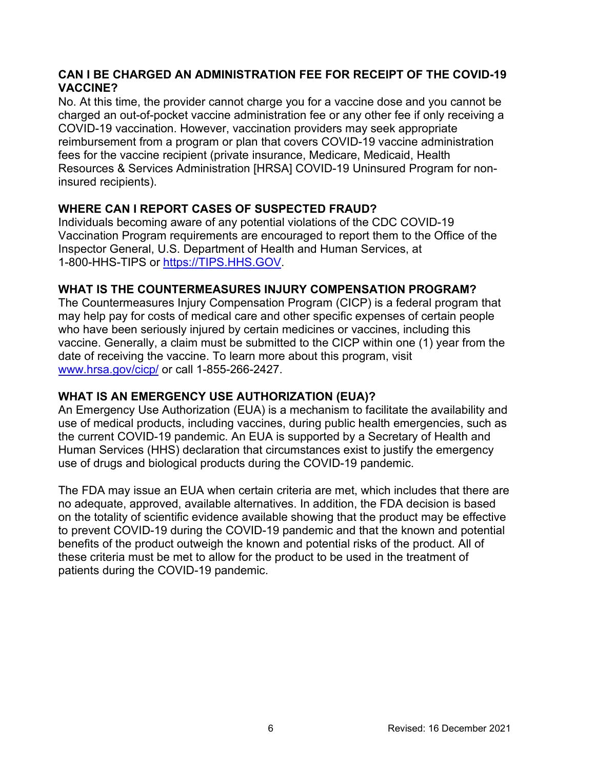# **CAN I BE CHARGED AN ADMINISTRATION FEE FOR RECEIPT OF THE COVID-19 VACCINE?**

No. At this time, the provider cannot charge you for a vaccine dose and you cannot be charged an out-of-pocket vaccine administration fee or any other fee if only receiving a COVID-19 vaccination. However, vaccination providers may seek appropriate reimbursement from a program or plan that covers COVID-19 vaccine administration fees for the vaccine recipient (private insurance, Medicare, Medicaid, Health Resources & Services Administration [HRSA] COVID-19 Uninsured Program for noninsured recipients).

# **WHERE CAN I REPORT CASES OF SUSPECTED FRAUD?**

Individuals becoming aware of any potential violations of the CDC COVID-19 Vaccination Program requirements are encouraged to report them to the Office of the Inspector General, U.S. Department of Health and Human Services, at 1-800-HHS-TIPS or [https://TIPS.HHS.GOV.](https://tips.hhs.gov/)

### **WHAT IS THE COUNTERMEASURES INJURY COMPENSATION PROGRAM?**

The Countermeasures Injury Compensation Program (CICP) is a federal program that may help pay for costs of medical care and other specific expenses of certain people who have been seriously injured by certain medicines or vaccines, including this vaccine. Generally, a claim must be submitted to the CICP within one (1) year from the date of receiving the vaccine. To learn more about this program, visit [www.hrsa.gov/cicp/](http://www.hrsa.gov/cicp/) or call 1-855-266-2427.

# **WHAT IS AN EMERGENCY USE AUTHORIZATION (EUA)?**

An Emergency Use Authorization (EUA) is a mechanism to facilitate the availability and use of medical products, including vaccines, during public health emergencies, such as the current COVID-19 pandemic. An EUA is supported by a Secretary of Health and Human Services (HHS) declaration that circumstances exist to justify the emergency use of drugs and biological products during the COVID-19 pandemic.

The FDA may issue an EUA when certain criteria are met, which includes that there are no adequate, approved, available alternatives. In addition, the FDA decision is based on the totality of scientific evidence available showing that the product may be effective to prevent COVID-19 during the COVID-19 pandemic and that the known and potential benefits of the product outweigh the known and potential risks of the product. All of these criteria must be met to allow for the product to be used in the treatment of patients during the COVID-19 pandemic.